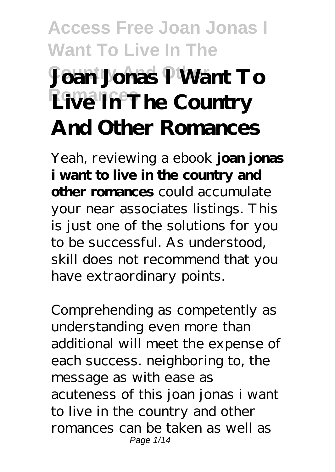# **Access Free Joan Jonas I Want To Live In The Joan Jonas P Want To Live In The Country And Other Romances**

Yeah, reviewing a ebook **joan jonas i want to live in the country and other romances** could accumulate your near associates listings. This is just one of the solutions for you to be successful. As understood, skill does not recommend that you have extraordinary points.

Comprehending as competently as understanding even more than additional will meet the expense of each success. neighboring to, the message as with ease as acuteness of this joan jonas i want to live in the country and other romances can be taken as well as Page 1/14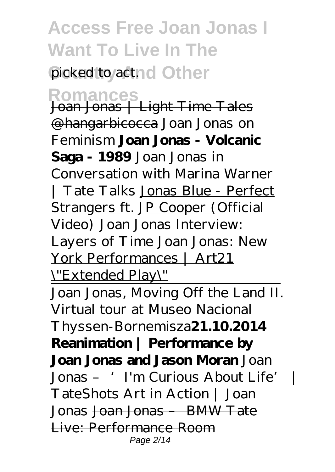picked to actnd Other

**Romances** Joan Jonas | Light Time Tales @hangarbicocca *Joan Jonas on Feminism* **Joan Jonas - Volcanic Saga - 1989** *Joan Jonas in Conversation with Marina Warner | Tate Talks* Jonas Blue - Perfect Strangers ft. JP Cooper (Official Video) *Joan Jonas Interview: Layers of Time* Joan Jonas: New York Performances | Art21 \"Extended Play\"

Joan Jonas, Moving Off the Land II. Virtual tour at Museo Nacional Thyssen-Bornemisza**21.10.2014 Reanimation | Performance by Joan Jonas and Jason Moran** *Joan Jonas – 'I'm Curious About Life' | TateShots Art in Action | Joan Jonas* Joan Jonas – BMW Tate Live: Performance Room Page 2/14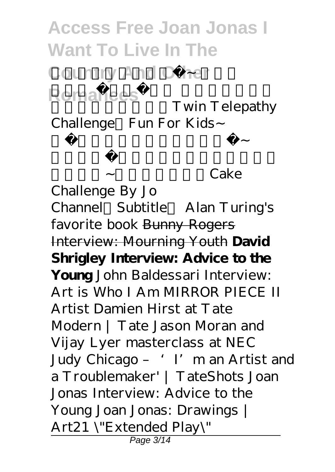**Access Free Joan Jonas I Want To Live In The Country And Other** Romances<br>
Twin Telerathy Twin Telepathy

Challenge Fun For Kids~

*蛋糕挑戰!角色扮演過家家遊戲~*

*玩具開箱~(中英文字幕)Cake*

*Challenge By Jo Channel(Subtitle) Alan Turing's favorite book* Bunny Rogers Interview: Mourning Youth **David Shrigley Interview: Advice to the Young** John Baldessari Interview: Art is Who I Am *MIRROR PIECE II Artist Damien Hirst at Tate Modern | Tate Jason Moran and Vijay Lyer masterclass at NEC Judy Chicago – 'I'm an Artist and a Troublemaker' | TateShots* Joan Jonas Interview: Advice to the Young Joan Jonas: Drawings | Art21 \"Extended Play\" Page 3/14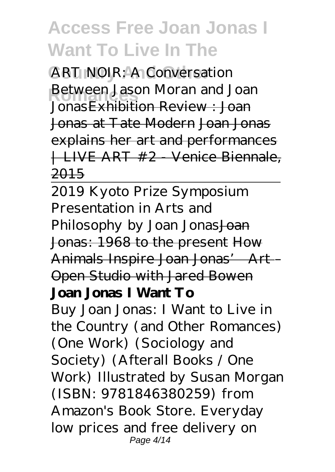**ART NOIR: A Conversation Retween Jason Moran and Joan** Jonas Exhibition Review : Joan Jonas at Tate Modern Joan Jonas explains her art and performances | LIVE ART #2 - Venice Biennale, 2015

2019 Kyoto Prize Symposium Presentation in Arts and Philosophy by Joan Jonas Joan Jonas: 1968 to the present How Animals Inspire Joan Jonas' Art – Open Studio with Jared Bowen **Joan Jonas I Want To**

Buy Joan Jonas: I Want to Live in the Country (and Other Romances) (One Work) (Sociology and Society) (Afterall Books / One Work) Illustrated by Susan Morgan (ISBN: 9781846380259) from Amazon's Book Store. Everyday low prices and free delivery on Page 4/14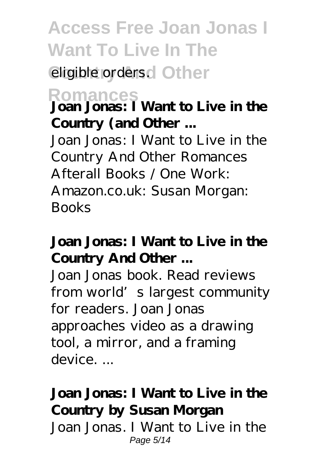### eligible orders.<sup>d</sup> Other

## **Romances Joan Jonas: I Want to Live in the Country (and Other ...**

Joan Jonas: I Want to Live in the Country And Other Romances Afterall Books / One Work: Amazon.co.uk: Susan Morgan: Books

#### **Joan Jonas: I Want to Live in the Country And Other ...**

Joan Jonas book. Read reviews from world's largest community for readers. Joan Jonas approaches video as a drawing tool, a mirror, and a framing device. ...

#### **Joan Jonas: I Want to Live in the Country by Susan Morgan** Joan Jonas. I Want to Live in the

Page 5/14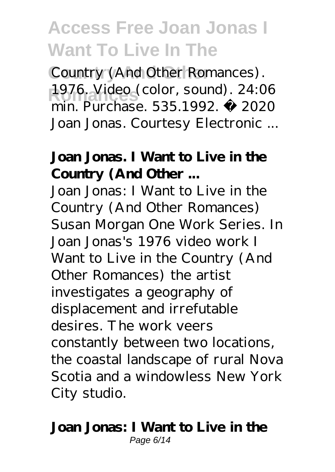Country (And Other Romances). 1976. Video (color, sound). 24:06 min. Purchase. 535.1992. © 2020 Joan Jonas. Courtesy Electronic ...

#### **Joan Jonas. I Want to Live in the Country (And Other ...**

Joan Jonas: I Want to Live in the Country (And Other Romances) Susan Morgan One Work Series. In Joan Jonas's 1976 video work I Want to Live in the Country (And Other Romances) the artist investigates a geography of displacement and irrefutable desires. The work veers constantly between two locations, the coastal landscape of rural Nova Scotia and a windowless New York City studio.

#### **Joan Jonas: I Want to Live in the** Page 6/14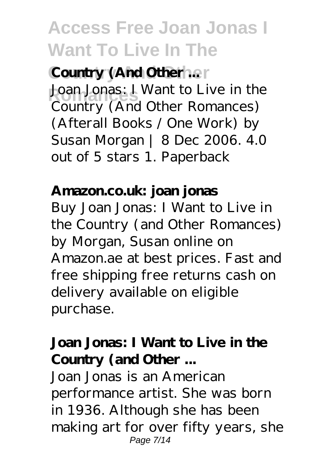**Country (And Other ...**) Joan Jonas: I Want to Live in the Country (And Other Romances) (Afterall Books / One Work) by Susan Morgan | 8 Dec 2006. 4.0 out of 5 stars 1. Paperback

#### **Amazon.co.uk: joan jonas**

Buy Joan Jonas: I Want to Live in the Country (and Other Romances) by Morgan, Susan online on Amazon.ae at best prices. Fast and free shipping free returns cash on delivery available on eligible purchase.

#### **Joan Jonas: I Want to Live in the Country (and Other ...**

Joan Jonas is an American performance artist. She was born in 1936. Although she has been making art for over fifty years, she Page 7/14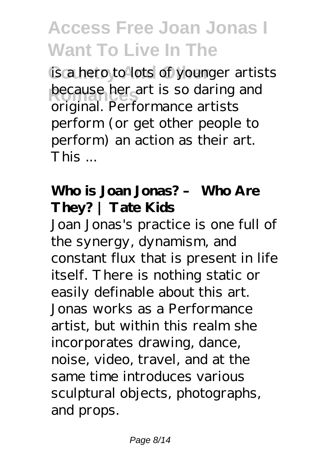is a hero to lots of younger artists **because her art is so daring and** original. Performance artists perform (or get other people to perform) an action as their art. This ...

### **Who is Joan Jonas? – Who Are They? | Tate Kids**

Joan Jonas's practice is one full of the synergy, dynamism, and constant flux that is present in life itself. There is nothing static or easily definable about this art. Jonas works as a Performance artist, but within this realm she incorporates drawing, dance, noise, video, travel, and at the same time introduces various sculptural objects, photographs, and props.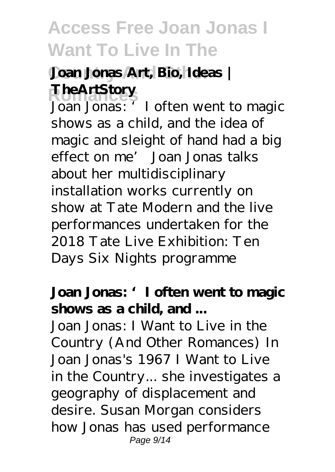### **Country And Other Joan Jonas Art, Bio, Ideas | Romances TheArtStory**

Joan Jonas: 'I often went to magic shows as a child, and the idea of magic and sleight of hand had a big effect on me' Joan Jonas talks about her multidisciplinary installation works currently on show at Tate Modern and the live performances undertaken for the 2018 Tate Live Exhibition: Ten Days Six Nights programme

#### **Joan Jonas: 'I often went to magic shows as a child, and ...**

Joan Jonas: I Want to Live in the Country (And Other Romances) In Joan Jonas's 1967 I Want to Live in the Country... she investigates a geography of displacement and desire. Susan Morgan considers how Jonas has used performance Page 9/14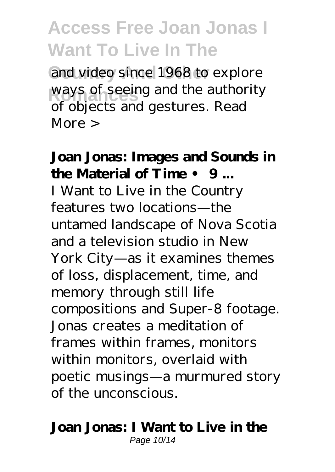and video since 1968 to explore ways of seeing and the authority of objects and gestures. Read More >

### **Joan Jonas: Images and Sounds in the Material of Time • 9 ...**

I Want to Live in the Country features two locations—the untamed landscape of Nova Scotia and a television studio in New York City—as it examines themes of loss, displacement, time, and memory through still life compositions and Super-8 footage. Jonas creates a meditation of frames within frames, monitors within monitors, overlaid with poetic musings—a murmured story of the unconscious.

#### **Joan Jonas: I Want to Live in the** Page 10/14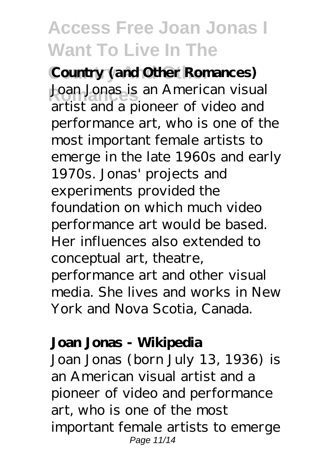**Country (and Other Romances)** Joan Jonas is an American visual artist and a pioneer of video and performance art, who is one of the most important female artists to emerge in the late 1960s and early 1970s. Jonas' projects and experiments provided the foundation on which much video performance art would be based. Her influences also extended to conceptual art, theatre, performance art and other visual media. She lives and works in New York and Nova Scotia, Canada.

#### **Joan Jonas - Wikipedia**

Joan Jonas (born July 13, 1936) is an American visual artist and a pioneer of video and performance art, who is one of the most important female artists to emerge Page 11/14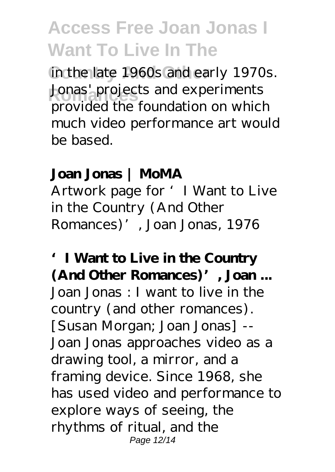in the late 1960s and early 1970s. Jonas' projects and experiments provided the foundation on which much video performance art would be based.

#### **Joan Jonas | MoMA**

Artwork page for 'I Want to Live in the Country (And Other Romances)', Joan Jonas, 1976

**'I Want to Live in the Country (And Other Romances)', Joan ...** Joan Jonas : I want to live in the country (and other romances). [Susan Morgan; Joan Jonas] -- Joan Jonas approaches video as a drawing tool, a mirror, and a framing device. Since 1968, she has used video and performance to explore ways of seeing, the rhythms of ritual, and the Page 12/14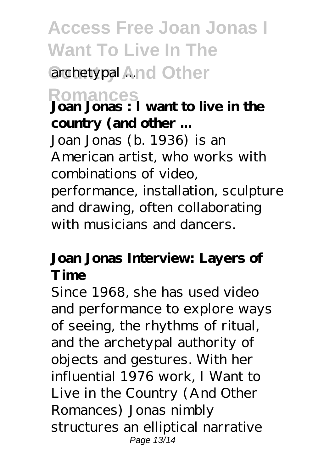## **Access Free Joan Jonas I Want To Live In The** archetypal And Other

**Romances Joan Jonas : I want to live in the country (and other ...**

Joan Jonas (b. 1936) is an American artist, who works with combinations of video, performance, installation, sculpture and drawing, often collaborating with musicians and dancers.

#### **Joan Jonas Interview: Layers of Time**

Since 1968, she has used video and performance to explore ways of seeing, the rhythms of ritual, and the archetypal authority of objects and gestures. With her influential 1976 work, I Want to Live in the Country (And Other Romances) Jonas nimbly structures an elliptical narrative Page 13/14